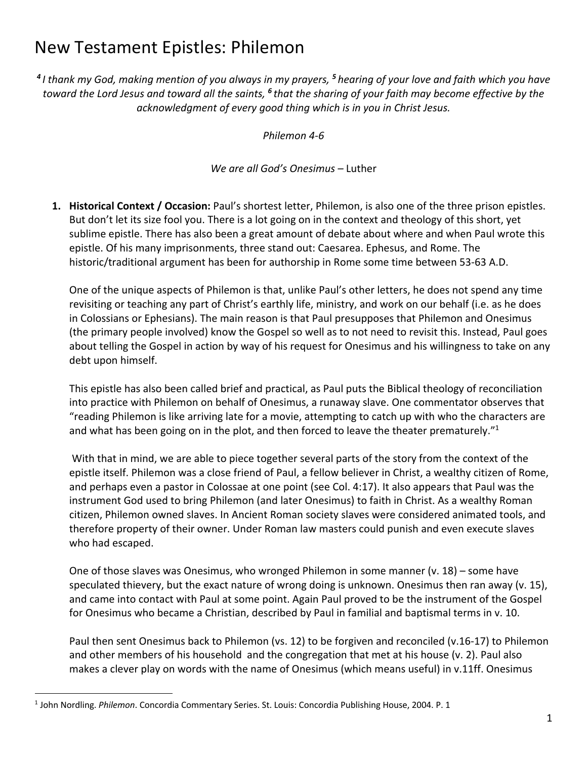# New Testament Epistles: Philemon

*<sup>4</sup> I thank my God, making mention of you always in my prayers, <sup>5</sup> hearing of your love and faith which you have toward the Lord Jesus and toward all the saints, <sup>6</sup> that the sharing of your faith may become effective by the acknowledgment of every good thing which is in you in Christ Jesus.*

*Philemon 4-6*

*We are all God's Onesimus –* Luther

**1. Historical Context / Occasion:** Paul's shortest letter, Philemon, is also one of the three prison epistles. But don't let its size fool you. There is a lot going on in the context and theology of this short, yet sublime epistle. There has also been a great amount of debate about where and when Paul wrote this epistle. Of his many imprisonments, three stand out: Caesarea. Ephesus, and Rome. The historic/traditional argument has been for authorship in Rome some time between 53-63 A.D.

One of the unique aspects of Philemon is that, unlike Paul's other letters, he does not spend any time revisiting or teaching any part of Christ's earthly life, ministry, and work on our behalf (i.e. as he does in Colossians or Ephesians). The main reason is that Paul presupposes that Philemon and Onesimus (the primary people involved) know the Gospel so well as to not need to revisit this. Instead, Paul goes about telling the Gospel in action by way of his request for Onesimus and his willingness to take on any debt upon himself.

This epistle has also been called brief and practical, as Paul puts the Biblical theology of reconciliation into practice with Philemon on behalf of Onesimus, a runaway slave. One commentator observes that "reading Philemon is like arriving late for a movie, attempting to catch up with who the characters are and what has been going on in the plot, and then forced to leave the theater prematurely."<sup>1</sup>

With that in mind, we are able to piece together several parts of the story from the context of the epistle itself. Philemon was a close friend of Paul, a fellow believer in Christ, a wealthy citizen of Rome, and perhaps even a pastor in Colossae at one point (see Col. 4:17). It also appears that Paul was the instrument God used to bring Philemon (and later Onesimus) to faith in Christ. As a wealthy Roman citizen, Philemon owned slaves. In Ancient Roman society slaves were considered animated tools, and therefore property of their owner. Under Roman law masters could punish and even execute slaves who had escaped.

One of those slaves was Onesimus, who wronged Philemon in some manner (v. 18) – some have speculated thievery, but the exact nature of wrong doing is unknown. Onesimus then ran away (v. 15), and came into contact with Paul at some point. Again Paul proved to be the instrument of the Gospel for Onesimus who became a Christian, described by Paul in familial and baptismal terms in v. 10.

Paul then sent Onesimus back to Philemon (vs. 12) to be forgiven and reconciled (v.16-17) to Philemon and other members of his household and the congregation that met at his house (v. 2). Paul also makes a clever play on words with the name of Onesimus (which means useful) in v.11ff. Onesimus

<sup>1</sup> John Nordling. *Philemon*. Concordia Commentary Series. St. Louis: Concordia Publishing House, 2004. P. 1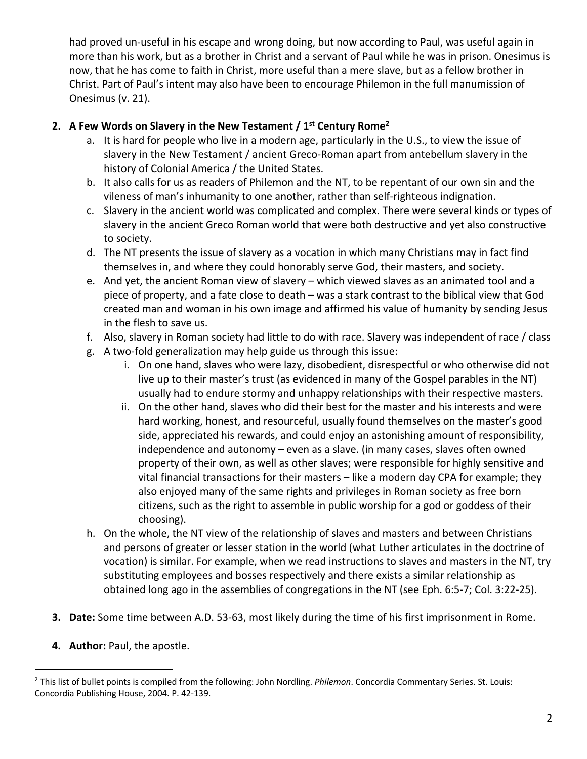had proved un-useful in his escape and wrong doing, but now according to Paul, was useful again in more than his work, but as a brother in Christ and a servant of Paul while he was in prison. Onesimus is now, that he has come to faith in Christ, more useful than a mere slave, but as a fellow brother in Christ. Part of Paul's intent may also have been to encourage Philemon in the full manumission of Onesimus (v. 21).

# **2. A Few Words on Slavery in the New Testament / 1st Century Rome2**

- a. It is hard for people who live in a modern age, particularly in the U.S., to view the issue of slavery in the New Testament / ancient Greco-Roman apart from antebellum slavery in the history of Colonial America / the United States.
- b. It also calls for us as readers of Philemon and the NT, to be repentant of our own sin and the vileness of man's inhumanity to one another, rather than self-righteous indignation.
- c. Slavery in the ancient world was complicated and complex. There were several kinds or types of slavery in the ancient Greco Roman world that were both destructive and yet also constructive to society.
- d. The NT presents the issue of slavery as a vocation in which many Christians may in fact find themselves in, and where they could honorably serve God, their masters, and society.
- e. And yet, the ancient Roman view of slavery which viewed slaves as an animated tool and a piece of property, and a fate close to death – was a stark contrast to the biblical view that God created man and woman in his own image and affirmed his value of humanity by sending Jesus in the flesh to save us.
- f. Also, slavery in Roman society had little to do with race. Slavery was independent of race / class
- g. A two-fold generalization may help guide us through this issue:
	- i. On one hand, slaves who were lazy, disobedient, disrespectful or who otherwise did not live up to their master's trust (as evidenced in many of the Gospel parables in the NT) usually had to endure stormy and unhappy relationships with their respective masters.
	- ii. On the other hand, slaves who did their best for the master and his interests and were hard working, honest, and resourceful, usually found themselves on the master's good side, appreciated his rewards, and could enjoy an astonishing amount of responsibility, independence and autonomy – even as a slave. (in many cases, slaves often owned property of their own, as well as other slaves; were responsible for highly sensitive and vital financial transactions for their masters – like a modern day CPA for example; they also enjoyed many of the same rights and privileges in Roman society as free born citizens, such as the right to assemble in public worship for a god or goddess of their choosing).
- h. On the whole, the NT view of the relationship of slaves and masters and between Christians and persons of greater or lesser station in the world (what Luther articulates in the doctrine of vocation) is similar. For example, when we read instructions to slaves and masters in the NT, try substituting employees and bosses respectively and there exists a similar relationship as obtained long ago in the assemblies of congregations in the NT (see Eph. 6:5-7; Col. 3:22-25).
- **3. Date:** Some time between A.D. 53-63, most likely during the time of his first imprisonment in Rome.
- **4. Author:** Paul, the apostle.

<sup>2</sup> This list of bullet points is compiled from the following: John Nordling. *Philemon*. Concordia Commentary Series. St. Louis: Concordia Publishing House, 2004. P. 42-139.